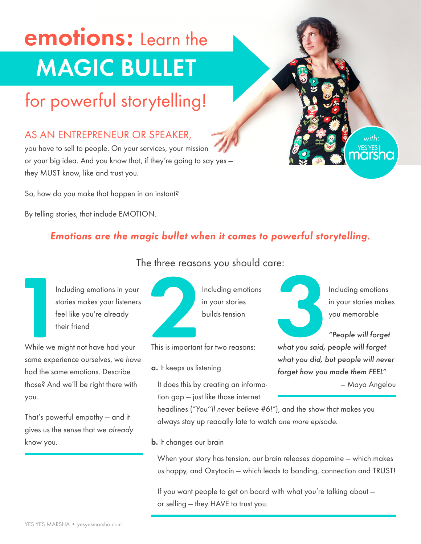# emotions: Learn the MAGIC BULLET

## for powerful storytelling!

#### AS AN ENTREPRENEUR OR SPEAKER,

you have to sell to people. On your services, your mission or your big idea. And you know that, if they're going to say yes they MUST know, like and trust you.

So, how do you make that happen in an instant?

By telling stories, that include EMOTION.

#### *Emotions are the magic bullet when it comes to powerful storytelling.*



The three reasons you should care:

Including emotions in your stories makes your listeners feel like you're already their friend

While we might not have had your same experience ourselves, we *have* had the same emotions. Describe those? And we'll be right there with you.

That's powerful empathy — and it gives us the sense that we *already* know you.



Including emotions in your stories builds tension

This is important for two reasons:

- a. It keeps us listening
	- It does this by creating an information gap — just like those internet

Including emotions in your stories makes you memorable

*with:*

*"People will forget what you said, people will forget what you did, but people will never forget how you made them FEEL"*

— Maya Angelou

headlines (*"You''ll never believe #6!"*), and the show that makes you always stay up reaaally late to watch *one more episode.*

**b.** It changes our brain

When your story has tension, our brain releases dopamine — which makes us happy, and Oxytocin — which leads to bonding, connection and TRUST!

If you want people to get on board with what you're talking about or selling — they HAVE to trust you.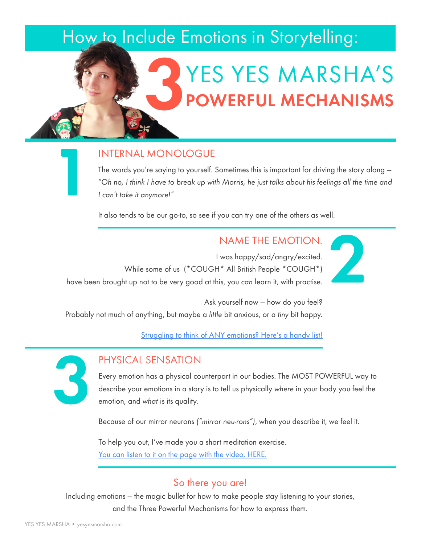### How to Include Emotions in Storytelling:

## YES YES MARSHA'S POWERFUL MECHANISMS 3

#### INTERNAL MONOLOGUE

The words you're saying to yourself. Sometimes this is important for driving the story along — *"Oh no, I think I have to break up with Morris, he just talks about his feelings all the time and I can't take it anymore!"*

It also tends to be our go-to, so see if you can try one of the others as well.

NAME THE EMOTION.

2

I was happy/sad/angry/excited. While some of us (\*COUGH\* All British People \*COUGH\*) have been brought up not to be very good at this, you *can* learn it, with practise.

Ask yourself now — how do you feel? Probably not much of anything, but maybe a *little* bit anxious, or a *tiny* bit happy.

[Struggling to think of ANY emotions? Here's a handy list!](http://www.psychpage.com/learning/library/assess/feelings.html)



1

#### PHYSICAL SENSATION

Every emotion has a physical counterpart in our bodies. The MOST POWERFUL way to describe your emotions in a story is to tell us physically *where* in your body you feel the emotion, and *what* is its quality.

Because of our mirror neurons *("mirror neu-rons")*, when you describe it, we feel it.

To help you out, I've made you a short meditation exercise. [You can listen to it on the page with the video, HERE.](http://yesyesmarsha.com/emo-three-parts-here-it-is)

#### So there you are!

Including emotions — the magic bullet for how to make people stay listening to your stories, and the Three Powerful Mechanisms for how to express them.